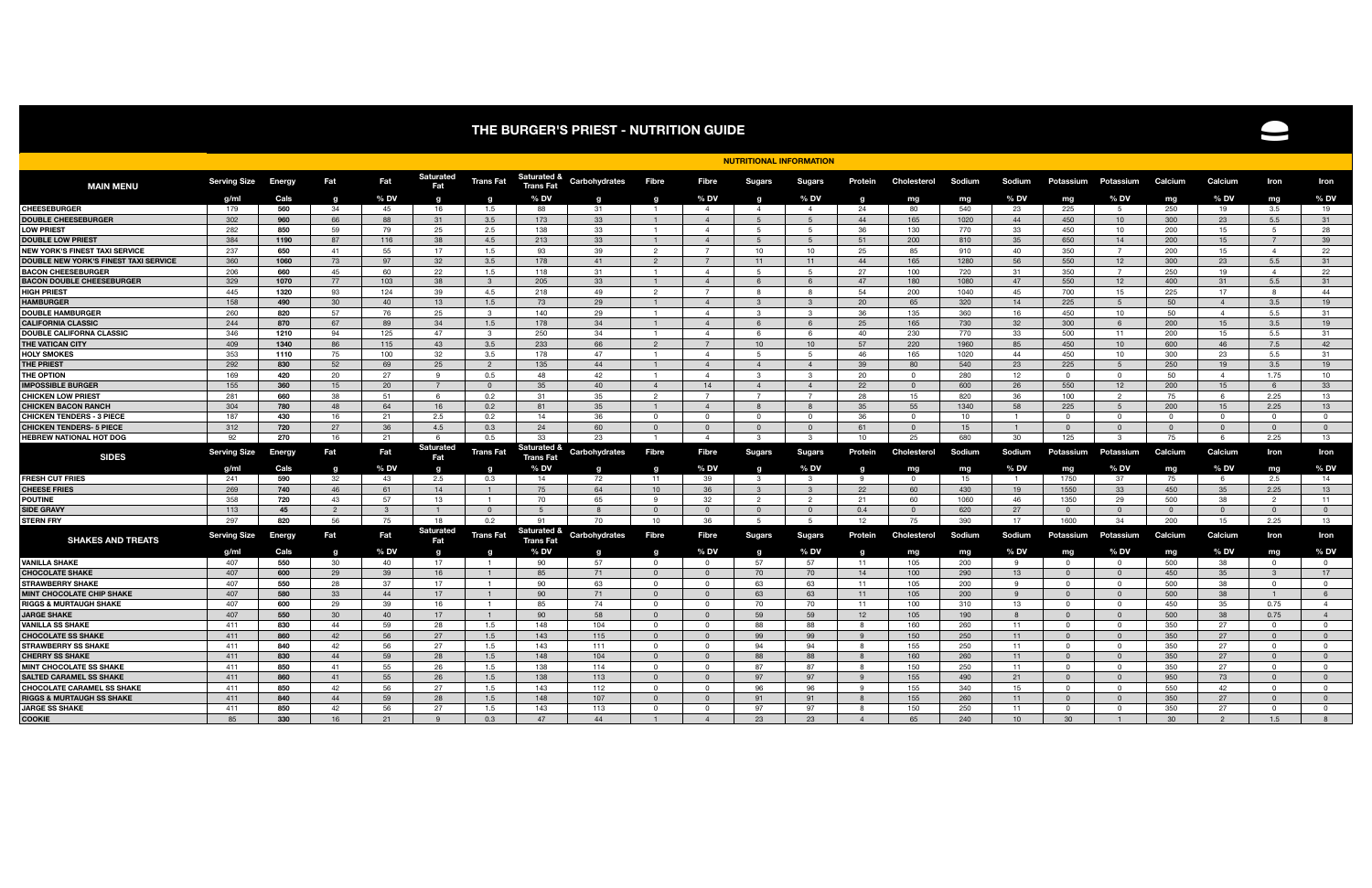## **THE BURGER'S PRIEST - NUTRITION GUIDE**



|                                                         |                     | <b>NUTRITIONAL INFORMATION</b> |                |              |                         |                                  |                                            |               |                      |                        |                     |                        |                 |                    |            |                |                      |                            |                |                |                      |                   |
|---------------------------------------------------------|---------------------|--------------------------------|----------------|--------------|-------------------------|----------------------------------|--------------------------------------------|---------------|----------------------|------------------------|---------------------|------------------------|-----------------|--------------------|------------|----------------|----------------------|----------------------------|----------------|----------------|----------------------|-------------------|
| <b>MAIN MENU</b>                                        | <b>Serving Size</b> | Energy                         | Fat            | Fat          | Saturated<br>Fat        | Trans Fat                        | <b>Saturated &amp;</b><br><b>Trans Fat</b> | Carbohydrates | <b>Fibre</b>         | <b>Fibre</b>           | <b>Sugars</b>       | <b>Sugars</b>          | Protein         | Cholesterol        | Sodium     | <b>Sodium</b>  | Potassium            | Potassium                  | Calcium        | Calcium        | Iron                 | Iron              |
| <b>CHEESEBURGER</b>                                     | g/ml<br>179         | Cals<br>560                    | C<br>34        | $%$ DV<br>45 | q<br>16                 | g<br>1.5                         | $%$ DV<br>88                               | q<br>-31      | $\mathbf{o}$         | $%$ DV<br>$\mathbf{A}$ | o<br>$\overline{4}$ | % DV<br>$\overline{4}$ | <b>g</b><br>-24 | mg<br>80           | mg<br>540  | $%$ DV<br>-23  | mg<br>225            | $%$ DV<br>5                | mg<br>250      | $%$ DV<br>19   | mg<br>3.5            | $%$ DV<br>19      |
| <b>DOUBLE CHEESEBURGER</b>                              | 302                 | 960                            | 66             | 88           | 31                      | 3.5                              | 173                                        | 33            | $\mathbf{1}$         | $\overline{4}$         | $-5$                | -5                     | 44              | 165                | 1020       | 44             | 450                  | 10                         | 300            | 23             | 5.5                  | 31                |
| <b>LOW PRIEST</b>                                       | 282                 | 850                            | 59             | 79           | 25                      | 2.5                              | 138                                        | 33            | $\blacksquare$       | $\overline{4}$         | -5                  | -5                     | 36              | 130                | 770        | 33             | 450                  | 10                         | 200            | 15             | 5                    | 28                |
| <b>DOUBLE LOW PRIEST</b>                                | 384                 | 1190                           | 87             | 116          | 38                      | 4.5                              | 213                                        | 33            | $\mathbf{1}$         | $\overline{4}$         | -5                  | 5                      | 51              | 200                | 810        | 35             | 650                  | 14                         | 200            | 15             | $\overline{7}$       | 39                |
| <b>NEW YORK'S FINEST TAXI SERVICE</b>                   | 237                 | 650                            | 41             | 55           | 17                      | 1.5                              | 93                                         | 39            | $\overline{2}$       | $\overline{7}$         | 10                  | 10 <sup>1</sup>        | 25              | 85                 | 910        | 40             | 350                  | $\overline{7}$             | 200            | 15             | $\overline{4}$       | 22                |
| DOUBLE NEW YORK'S FINEST TAXI SERVICE                   | 360                 | 1060                           | 73             | 97           | 32                      | 3.5                              | 178                                        | 41            | $\overline{2}$       | $\overline{7}$         | 11                  | 11                     | 44              | 165                | 1280       | 56             | 550                  | 12                         | 300            | 23             | 5.5                  | 31                |
| <b>BACON CHEESEBURGER</b>                               | 206                 | 660                            | 45             | 60           | 22                      | 1.5                              | 118                                        | 31            | $\mathbf{1}$         | $\overline{4}$         | -5                  | -5                     | 27              | 100                | 720        | -31            | 350                  | 7                          | 250            | 19             | $\overline{4}$       | 22                |
| <b>BACON DOUBLE CHEESEBURGER</b>                        | 329                 | 1070                           | 77             | 103          | 38                      | -3                               | 205                                        | 33            | -1                   | 4                      | - 6                 | -6                     | 47              | 180                | 1080       | 47             | 550                  | 12                         | 400            | 31             | 5.5                  | 31                |
| <b>HIGH PRIEST</b>                                      | 445                 | 1320                           | 93             | 124          | 39                      | 4.5                              | 218                                        | 49            | $\mathcal{P}$        | $\overline{7}$         | -8                  | $\mathsf{R}$           | 54              | 200                | 1040       | 45             | 700                  | 15                         | 225            | 17             | 8                    | 44                |
| <b>HAMBURGER</b>                                        | 158                 | 490                            | 30             | 40           | 13                      | 1.5                              | 73                                         | 29            | $\mathbf{1}$         | $\overline{4}$         | $\mathbf{B}$        | $\mathbf{3}$           | 20              | 65                 | 320        | 14             | 225                  | -5                         | 50             | $\overline{4}$ | 3.5                  | 19                |
| <b>DOUBLE HAMBURGER</b>                                 | 260                 | 820                            | 57             | 76           | 25                      | $\mathcal{B}$                    | 140                                        | 29            | $\blacksquare$       | $\Delta$               | $\mathbf{B}$        | $\mathcal{B}$          | 36              | 135                | 360        | 16             | 450                  | 10                         | 50             | $\overline{4}$ | 5.5                  | 31                |
| <b>CALIFORNIA CLASSIC</b>                               | 244                 | 870                            | 67             | 89           | 34                      | 1.5                              | 178                                        | -34           | $\mathbf{1}$         | $\overline{4}$         | 6                   | -6                     | 25              | 165                | 730        | 32             | 300                  | -6                         | 200            | 15             | 3.5                  | 19                |
| <b>DOUBLE CALIFORNA CLASSIC</b>                         | 346                 | 1210                           | 94             | 125          | 47                      | $\mathbf{3}$                     | 250                                        | 34            | $\blacksquare$       | $\overline{4}$         | -6                  | -6                     | 40              | 230                | 770        | 33             | 500                  | 11                         | 200            | 15             | 5.5                  | 31                |
| THE VATICAN CITY                                        | 409                 | 1340                           | 86             | 115          | 43                      | 3.5                              | 233                                        | 66            | $\overline{2}$       | $\overline{7}$         | 10 <sup>1</sup>     | 10                     | 57              | 220                | 1960       | 85             | 450                  | 10                         | 600            | 46             | 7.5                  | 42                |
| <b>HOLY SMOKES</b>                                      | 353                 | 1110                           | 75             | 100          | 32                      | 3.5                              | 178                                        | 47            | $\mathbf{1}$         | $\Delta$               | -5                  | -5                     | 46              | 165                | 1020       | 44             | 450                  | 10                         | 300            | 23             | 5.5                  | 31                |
| <b>THE PRIEST</b>                                       | 292                 | 830                            | 52             | 69           | 25                      | $\overline{2}$                   | 135                                        | 44            |                      | $\Delta$               | $\overline{4}$      | $\overline{4}$         | 39              | 80                 | 540        | 23             | 225                  | -5                         | 250            | 19             | 3.5                  | 19                |
| <b>THE OPTION</b>                                       | 169                 | 420                            | 20             | 27           | $\mathbf{q}$            | 0.5                              | 48                                         | 42            | $\blacksquare$       | $\Delta$               | $\mathcal{B}$       | $\mathbf{R}$           | 20              | $\Omega$           | 280        | 12             | $\Omega$             | $\Omega$                   | 50             | $\overline{4}$ | 1.75                 | 10                |
| <b>IMPOSSIBLE BURGER</b>                                | 155                 | 360                            | 15             | 20           | $\overline{7}$          | $\Omega$                         | 35                                         | 40            | $\overline{4}$       | 14                     | $\overline{4}$      | $\overline{4}$         | 22              | $\overline{0}$     | 600        | 26             | 550                  | 12                         | 200            | 15             | 6                    | 33                |
| <b>CHICKEN LOW PRIEST</b>                               | 281                 | 660                            | 38             | 51           | -6                      | 0.2                              | 31                                         | 35            | $\overline{2}$       |                        | $\overline{7}$      | $\overline{7}$         | 28              | 15                 | 820        | 36             | 100                  | 2                          | 75             | 6              | 2.25                 | 13                |
| <b>CHICKEN BACON RANCH</b>                              | 304                 | 780                            | 48             | 64           | 16                      | 0.2                              | 81                                         | 35            |                      | $\Delta$               | $\mathsf{R}$        | 8                      | 35              | 55                 | 1340       | 58             | 225                  | -5                         | 200            | 15             | 2.25                 | 13                |
| <b>CHICKEN TENDERS - 3 PIECE</b>                        | 187                 | 430                            | 16             | 21           | 2.5                     | 0.2                              | 14                                         | 36            | $\Omega$             | $\cap$                 | $\Omega$            | $\overline{0}$         | 36              | $\Omega$           | 10         | $\overline{1}$ | $\cap$               | $\Omega$                   | $\overline{0}$ | $\Omega$       | $\Omega$             | $\overline{0}$    |
| <b>CHICKEN TENDERS- 5 PIECE</b>                         | 312                 | 720                            | 27             | 36           | 4.5                     | 0.3                              | -24                                        | 60            | $\Omega$             | $\Omega$               | $\Omega$            | $\Omega$               | 61              | $\overline{0}$     | 15         | $\overline{1}$ | $\Omega$             | $\Omega$                   | $\Omega$       | $\overline{0}$ | $\overline{0}$       | $\overline{0}$    |
| <b>HEBREW NATIONAL HOT DOG</b>                          | 92                  | 270                            | 16             | 21           | - 6                     | 0.5                              | 33                                         | 23            |                      | -4                     | -3                  | -3                     | 10              | 25                 | 680        | 30             | 125                  | -3                         | 75             | - 6            | 2.25                 | 13                |
| <b>SIDES</b>                                            | <b>Serving Size</b> | Energy                         | Fat            | Fat          | <b>Saturated</b><br>Fat | Trans Fat                        | Saturated &<br>Trans Fat                   | Carbohydrates | Fibre                | <b>Fibre</b>           | <b>Sugars</b>       | <b>Sugars</b>          | Protein         | <b>Cholesterol</b> | Sodium     | Sodium         | Potassium            | Potassium                  | Calcium        | Calcium        | Iron                 | Iron              |
|                                                         | a/m                 | Cals                           | a              | $%$ DV       | $\mathbf q$             | q                                | $%$ DV                                     | a             | O                    | $%$ DV                 | o                   | % DV                   | <b>a</b>        | mg                 | mg         | $%$ DV         | mg                   | % DV                       | mg             | $%$ DV         | mg                   | $%$ DV            |
| <b>FRESH CUT FRIES</b>                                  | 241                 | 590                            | 32             | 43           | 2.5                     | 0.3                              | 14                                         | 72            | 11                   | 39                     | -3                  | $\mathbf{3}$           | - 9             | $\mathbf 0$        | 15         | $\blacksquare$ | 1750                 | 37                         | 75             | 6              | 2.5                  | 14                |
| <b>CHEESE FRIES</b>                                     | 269                 | 740                            | 46             | 61           | 14                      | $\overline{1}$                   | 75                                         | 64            | 10 <sup>1</sup>      | 36                     | 3                   | $\mathbf{R}$           | 22              | 60                 | 430        | 19             | 1550                 | 33                         | 450            | 35             | 2.25                 | 13                |
| <b>POUTINE</b>                                          | 358                 | 720                            | 43             | 57           | 13                      | $\overline{1}$                   | 70                                         | 65            | q                    | 32                     | $\overline{2}$      | $\overline{2}$         | 21              | 60                 | 1060       | 46             | 1350                 | 29                         | 500            | 38             | $\overline{2}$       | 11                |
| <b>SIDE GRAVY</b>                                       | 113                 | 45                             | $\overline{2}$ | 3            |                         | $\Omega$                         | -5                                         | 8             | $\Omega$             | $\Omega$               | $\Omega$            | $\Omega$               | 0.4             | $\overline{0}$     | 620        | 27             | $\Omega$             | $\overline{0}$             | $\overline{0}$ | $\overline{0}$ | $\overline{0}$       | $\overline{0}$    |
| <b>STERN FRY</b>                                        | 297                 | 820                            | 56             | 75           | 18                      | 0.2                              | 91                                         | 70            | 10 <sup>1</sup>      | 36                     | -5                  | -5                     | 12              | 75                 | 390        | 17             | 1600                 | 34                         | 200            | 15             | 2.25                 | 13                |
| <b>SHAKES AND TREATS</b>                                | <b>Serving Size</b> | <b>Energy</b>                  | Fat            | Fat          | <b>Saturated</b><br>Fat | Trans Fat                        | Saturated &<br><b>Trans Fat</b>            | Carbohydrates | Fibre                | Fibre                  | <b>Sugars</b>       | <b>Sugars</b>          | Protein         | <b>Cholesterol</b> | Sodium     | Sodium         | Potassium            | Potassium                  | Calcium        | Calcium        | Iron                 | Iron              |
|                                                         | g/ml                | Cals                           | a              | $%$ DV       | $\mathbf q$             | q                                | $%$ DV                                     | O             |                      | $%$ DV                 |                     | % DV                   | <b>a</b>        | mg                 | mg         | $%$ DV         | mg                   | $%$ DV                     | mg             | $%$ DV         | mg                   | % DV              |
| <b>VANILLA SHAKE</b>                                    | 407                 | 550                            | 30             | 40           | 17                      | $\overline{1}$                   | 90                                         | 57            | $\Omega$             | റ                      | 57                  | 57                     | 11              | 105                | 200        | 9              | റ                    | $\Omega$                   | 500            | 38             | $\Omega$             | $\mathbf{0}$      |
| <b>CHOCOLATE SHAKE</b>                                  | 407                 | 600                            | 29             | 39           | 16                      | $\overline{1}$                   | 85                                         | 71            | $\Omega$             | $\Omega$               | 70                  | 70                     | 14              | 100                | 290        | 13             |                      | $\Omega$                   | 450            | 35             | $\mathbf{3}$         | 17                |
| <b>STRAWBERRY SHAKE</b>                                 | 407<br>407          | 550                            | 28             | 37           | 17                      | $\overline{1}$                   | 90                                         | 63            | $\Omega$             | $\Omega$               | 63                  | 63                     | 11              | 105                | 200        | -9             | $\Omega$             | $\Omega$<br>$\overline{0}$ | 500            | 38             | $\Omega$             | $\mathbf{0}$<br>6 |
| <b>MINT CHOCOLATE CHIP SHAKE</b>                        | 407                 | 580<br>600                     | 33<br>29       | 44<br>39     | 17<br>16                | $\overline{1}$<br>$\overline{1}$ | 90                                         | 71<br>74      | $\Omega$<br>$\Omega$ | - 0<br>$\cap$          | 63<br>70            | 63<br>70               | 11<br>11        | 105<br>100         | 200<br>310 | - 9<br>13      | $\Omega$<br>$\Omega$ | $\Omega$                   | 500<br>450     | 38<br>35       | $\mathbf{1}$<br>0.75 | $\overline{4}$    |
| <b>RIGGS &amp; MURTAUGH SHAKE</b><br><b>JARGE SHAKE</b> | 407                 | 550                            | 30             | 40           | 17                      | $\mathbf{1}$                     | 85<br>90                                   | 58            | $\Omega$             | $\Omega$               | 59                  | 59                     | 12              | 105                | 190        | 8              | $\Omega$             | $\Omega$                   | 500            | 38             | 0.75                 | $\overline{4}$    |
| VANILLA SS SHAKE                                        | 411                 | 830                            | 44             | 59           | 28                      | 1.5                              | 148                                        | 104           | $\Omega$             | റ                      | 88                  | 88                     | -8              | 160                | 260        | 11             | $\Omega$             | $\Omega$                   | 350            | 27             | $\Omega$             | $\mathbf 0$       |
| <b>CHOCOLATE SS SHAKE</b>                               | 411                 | 860                            | 42             | 56           | 27                      | 1.5                              | 143                                        | 115           | $\Omega$             | $\Omega$               | 99                  | 99                     | -9              | 150                | 250        | 11             | $\Omega$             | $\Omega$                   | 350            | 27             | $\overline{0}$       | $\overline{0}$    |
| <b>STRAWBERRY SS SHAKE</b>                              | 411                 | 840                            | 42             | 56           | 27                      | 1.5                              | 143                                        | 111           | $\Omega$             | $\Omega$               | 94                  | 94                     | -8              | 155                | 250        | 11             | റ                    | $\Omega$                   | 350            | 27             | $\Omega$             | $\mathbf{0}$      |
| <b>CHERRY SS SHAKE</b>                                  | 411                 | 830                            | 44             | 59           | 28                      | 1.5                              | 148                                        | 104           | $\Omega$             | $\Omega$               | 88                  | 88                     |                 | 160                | 260        | 11             |                      | $\Omega$                   | 350            | 27             | $\Omega$             | $\mathbf{0}$      |
| <b>MINT CHOCOLATE SS SHAKE</b>                          | 411                 | 850                            | 41             | 55           | 26                      | 1.5                              | 138                                        | 114           | $\Omega$             | റ                      | 87                  | 87                     | -8              | 150                | 250        | 11             | $\Omega$             | $\Omega$                   | 350            | 27             | $\Omega$             | $\Omega$          |
| <b>SALTED CARAMEL SS SHAKE</b>                          | 411                 | 860                            | 41             | 55           | 26                      | 1.5                              | 138                                        | 113           | $\Omega$             | $\Omega$               | 97                  | 97                     | -9              | 155                | 490        | 21             | $\Omega$             | $\Omega$                   | 950            | 73             | $\Omega$             | $\overline{0}$    |
| <b>CHOCOLATE CARAMEL SS SHAKE</b>                       | 411                 | 850                            | 42             | 56           | 27                      | 1.5                              | 143                                        | 112           | $\Omega$             | റ                      | 96                  | 96                     | -9              | 155                | 340        | 15             | - 0                  | $\Omega$                   | 550            | 42             | $\Omega$             | $\Omega$          |
| <b>RIGGS &amp; MURTAUGH SS SHAKE</b>                    | 411                 | 840                            | 44             | 59           | 28                      | 1.5                              | 148                                        | 107           | $\Omega$             |                        | 91                  | 91                     |                 | 155                | 260        | 11             |                      | $\Omega$                   | 350            | 27             | $\Omega$             | $\Omega$          |
| <b>JARGE SS SHAKE</b>                                   | 411                 | 850                            | 42             | 56           | 27                      | 1.5                              | 143                                        | 113           | $\Omega$             | റ                      | 97                  | 97                     | - 8             | 150                | 250        | 11             | $\Omega$             | $\Omega$                   | 350            | 27             | $\Omega$             | $\mathbf 0$       |
| <b>COOKIE</b>                                           | 85                  | 330                            | 16             | 21           | 9                       | 0.3                              | 47                                         | 44            |                      |                        | 23                  | 23                     | $\overline{4}$  | 65                 | 240        | 10             | 30                   |                            | 30             |                | 1.5                  | 8                 |
|                                                         |                     |                                |                |              |                         |                                  |                                            |               |                      |                        |                     |                        |                 |                    |            |                |                      |                            |                |                |                      |                   |